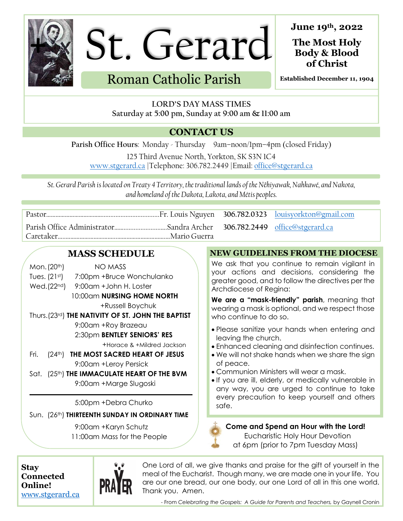

St. Gerard

Roman Catholic Parish

**June 19th , 2022**

**The Most Holy Body & Blood of Christ**

**Established December 11, 1904**

**LORD'S DAY MASS TIMES Saturday at 5:00 pm, Sunday at 9:00 am & 11:00 am**

## **CONTACT US**

Parish Office Hours: Monday - Thursday 9am-noon/1pm-4pm (closed Friday)

125 Third Avenue North, Yorkton, SK S3N 1C4 [www.stgerard.ca](http://www.stgerard.ca/) |Telephone: 306.782.2449 |Email[: office@stgerard.ca](mailto:office@stgerard.ca)

*St. Gerard Parish is located on Treaty 4 Territory, the traditional lands of the Nêhiyawak, Nahkawé, and Nakota, and homeland of the Dakota, Lakota, and Métis peoples.*

# **MASS SCHEDULE**

| Mon. (20 <sup>th</sup> ) | NO MASS                                |
|--------------------------|----------------------------------------|
| $T_{\text{max}}$ (01ct)  | $7.00$ and $10x$ is a $11ax$ and $1ax$ |

- Tues. (21st) 7:00pm +Bruce Wonchulanko
- Wed.(22nd) 9:00am +John H. Loster 10:00am **NURSING HOME NORTH**

+Russell Boychuk

### Thurs.(23rd) **THE NATIVITY OF ST. JOHN THE BAPTIST**

9:00am +Roy Brazeau

### 2:30pm **BENTLEY SENIORS' RES**

+Horace & +Mildred Jackson

- Fri. (24th) **THE MOST SACRED HEART OF JESUS** 9:00am +Leroy Persick
- Sat. (25th) **THE IMMACULATE HEART OF THE BVM** 9:00am +Marge Slugoski

5:00pm +Debra Churko

Sun. (26th) **THIRTEENTH SUNDAY IN ORDINARY TIME**

9:00am +Karyn Schutz 11:00am Mass for the People

### **NEW GUIDELINES FROM THE DIOCESE**

We ask that you continue to remain vigilant in your actions and decisions, considering the greater good, and to follow the directives per the Archdiocese of Regina:

**We are a "mask-friendly" parish**, meaning that wearing a mask is optional, and we respect those who continue to do so.

- Please sanitize your hands when entering and leaving the church.
- Enhanced cleaning and disinfection continues.
- We will not shake hands when we share the sign of peace.
- Communion Ministers will wear a mask.
- If you are ill, elderly, or medically vulnerable in any way, you are urged to continue to take every precaution to keep yourself and others safe.

**Come and Spend an Hour with the Lord!** Eucharistic Holy Hour Devotion at 6pm (prior to 7pm Tuesday Mass)

**Stay Connected Online!** [www.stgerard.ca](http://www.stgerard.ca/)



One Lord of all, we give thanks and praise for the gift of yourself in the meal of the Eucharist. Though many, we are made one in your life. You are our one bread, our one body, our one Lord of all in this one world. Thank you. Amen.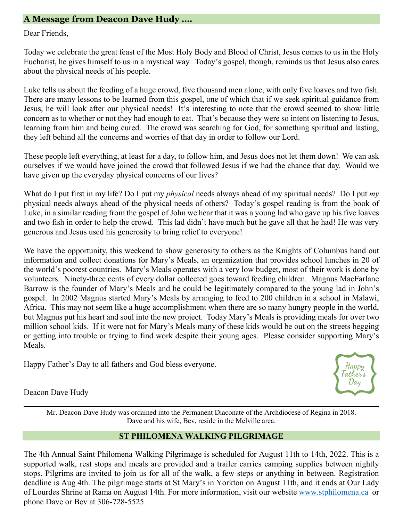### **A Message from Deacon Dave Hudy ….**

#### Dear Friends,

Today we celebrate the great feast of the Most Holy Body and Blood of Christ, Jesus comes to us in the Holy Eucharist, he gives himself to us in a mystical way. Today's gospel, though, reminds us that Jesus also cares about the physical needs of his people.

Luke tells us about the feeding of a huge crowd, five thousand men alone, with only five loaves and two fish. There are many lessons to be learned from this gospel, one of which that if we seek spiritual guidance from Jesus, he will look after our physical needs! It's interesting to note that the crowd seemed to show little concern as to whether or not they had enough to eat. That's because they were so intent on listening to Jesus, learning from him and being cured. The crowd was searching for God, for something spiritual and lasting, they left behind all the concerns and worries of that day in order to follow our Lord.

These people left everything, at least for a day, to follow him, and Jesus does not let them down! We can ask ourselves if we would have joined the crowd that followed Jesus if we had the chance that day. Would we have given up the everyday physical concerns of our lives?

What do I put first in my life? Do I put my *physical* needs always ahead of my spiritual needs? Do I put *my*  physical needs always ahead of the physical needs of others? Today's gospel reading is from the book of Luke, in a similar reading from the gospel of John we hear that it was a young lad who gave up his five loaves and two fish in order to help the crowd. This lad didn't have much but he gave all that he had! He was very generous and Jesus used his generosity to bring relief to everyone!

We have the opportunity, this weekend to show generosity to others as the Knights of Columbus hand out information and collect donations for Mary's Meals, an organization that provides school lunches in 20 of the world's poorest countries. Mary's Meals operates with a very low budget, most of their work is done by volunteers. Ninety-three cents of every dollar collected goes toward feeding children. Magnus MacFarlane Barrow is the founder of Mary's Meals and he could be legitimately compared to the young lad in John's gospel. In 2002 Magnus started Mary's Meals by arranging to feed to 200 children in a school in Malawi, Africa. This may not seem like a huge accomplishment when there are so many hungry people in the world, but Magnus put his heart and soul into the new project. Today Mary's Meals is providing meals for over two million school kids. If it were not for Mary's Meals many of these kids would be out on the streets begging or getting into trouble or trying to find work despite their young ages. Please consider supporting Mary's Meals.

Happy Father's Day to all fathers and God bless everyone.



Deacon Dave Hudy

Mr. Deacon Dave Hudy was ordained into the Permanent Diaconate of the Archdiocese of Regina in 2018. Dave and his wife, Bev, reside in the Melville area.

### **ST PHILOMENA WALKING PILGRIMAGE**

The 4th Annual Saint Philomena Walking Pilgrimage is scheduled for August 11th to 14th, 2022. This is a supported walk, rest stops and meals are provided and a trailer carries camping supplies between nightly stops. Pilgrims are invited to join us for all of the walk, a few steps or anything in between. Registration deadline is Aug 4th. The pilgrimage starts at St Mary's in Yorkton on August 11th, and it ends at Our Lady of Lourdes Shrine at Rama on August 14th. For more information, visit our website [www.stphilomena.ca](http://www.stphilomena.ca/) or phone Dave or Bev at 306-728-5525.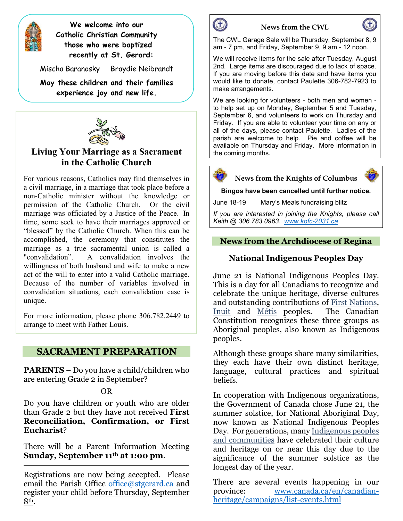

**We welcome into our Catholic Christian Community those who were baptized recently at St. Gerard:**

Mischa Baranosky Braydie Neibrandt

**May these children and their families experience joy and new life.**



### **Living Your Marriage as a Sacrament in the Catholic Church**

For various reasons, Catholics may find themselves in a civil marriage, in a marriage that took place before a non-Catholic minister without the knowledge or permission of the Catholic Church. Or the civil marriage was officiated by a Justice of the Peace. In time, some seek to have their marriages approved or "blessed" by the Catholic Church. When this can be accomplished, the ceremony that constitutes the marriage as a true sacramental union is called a "convalidation". A convalidation involves the willingness of both husband and wife to make a new act of the will to enter into a valid Catholic marriage. Because of the number of variables involved in convalidation situations, each convalidation case is unique.

For more information, please phone 306.782.2449 to arrange to meet with Father Louis.

### **SACRAMENT PREPARATION**

**PARENTS** – Do you have a child/children who are entering Grade 2 in September?

OR

Do you have children or youth who are older than Grade 2 but they have not received **First Reconciliation, Confirmation, or First Eucharist**?

There will be a Parent Information Meeting **Sunday, September 11th at 1:00 pm**.

Registrations are now being accepted. Please email the Parish Office [office@stgerard.ca](mailto:office@stgerard.ca) and register your child before Thursday, September 8th.



#### **News from the CWL**

The CWL Garage Sale will be Thursday, September 8, 9 am - 7 pm, and Friday, September 9, 9 am - 12 noon.

We will receive items for the sale after Tuesday, August 2nd. Large items are discouraged due to lack of space. If you are moving before this date and have items you would like to donate, contact Paulette 306-782-7923 to make arrangements.

We are looking for volunteers - both men and women to help set up on Monday, September 5 and Tuesday, September 6, and volunteers to work on Thursday and Friday. If you are able to volunteer your time on any or all of the days, please contact Paulette. Ladies of the parish are welcome to help. Pie and coffee will be available on Thursday and Friday. More information in the coming months.





**Bingos have been cancelled until further notice.**

June 18-19 Mary's Meals fundraising blitz

*If you are interested in joining the Knights, please call Keith @ 306.783.0963. [www.kofc-2031.ca](http://www.kofc-2031.ca/)*

#### **News from the Archdiocese of Regina**

#### **National Indigenous Peoples Day**

June 21 is National Indigenous Peoples Day. This is a day for all Canadians to recognize and celebrate the unique heritage, diverse cultures and outstanding contributions of [First Nations,](https://www.rcaanc-cirnac.gc.ca/eng/1100100013791/1535470872302) [Inuit](https://www.rcaanc-cirnac.gc.ca/eng/1100100014187/1534785248701) and [Métis](https://www.rcaanc-cirnac.gc.ca/eng/1100100014427/1535467913043) peoples. The Canadian Constitution recognizes these three groups as Aboriginal peoples, also known as Indigenous peoples.

Although these groups share many similarities, they each have their own distinct heritage, language, cultural practices and spiritual beliefs.

In cooperation with Indigenous organizations, the Government of Canada chose June 21, the summer solstice, for National Aboriginal Day, now known as National Indigenous Peoples Day. For generations, many [Indigenous peoples](https://www.rcaanc-cirnac.gc.ca/eng/1100100013785/1529102490303)  [and communities](https://www.rcaanc-cirnac.gc.ca/eng/1100100013785/1529102490303) have celebrated their culture and heritage on or near this day due to the significance of the summer solstice as the longest day of the year.

There are several events happening in our province: [www.canada.ca/en/canadian](http://www.canada.ca/en/canadian-heritage/campaigns/list-events.html)[heritage/campaigns/list-events.html](http://www.canada.ca/en/canadian-heritage/campaigns/list-events.html)

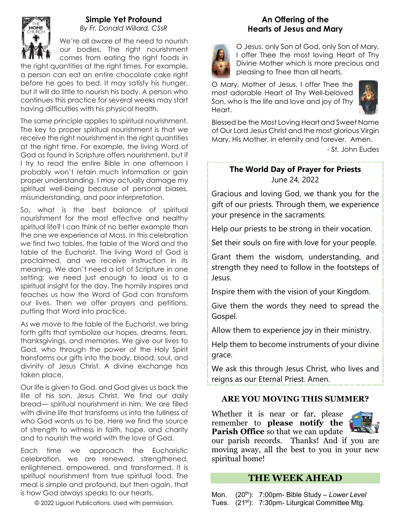

#### **Simple Yet Profound** *By Fr. Donald Willard, CSsR*

We're all aware of the need to nourish our bodies. The right nourishment comes from eating the right foods in

the right quantities at the right times. For example, a person can eat an entire chocolate cake right before he goes to bed. It may satisfy his hunger, but it will do little to nourish his body. A person who continues this practice for several weeks may start having difficulties with his physical health.

The same principle applies to spiritual nourishment. The key to proper spiritual nourishment is that we receive the right nourishment in the right quantities at the right time. For example, the living Word of God as found in Scripture offers nourishment, but if I try to read the entire Bible in one afternoon I probably won't retain much information or gain proper understanding. I may actually damage my spiritual well-being because of personal biases, misunderstanding, and poor interpretation.

So, what is the best balance of spiritual nourishment for the most effective and healthy spiritual life? I can think of no better example than the one we experience at Mass. In this celebration we find two tables, the table of the Word and the table of the Eucharist. The living Word of God is proclaimed, and we receive instruction in its meaning. We don't need a lot of Scripture in one setting; we need just enough to lead us to a spiritual insight for the day. The homily inspires and teaches us how the Word of God can transform our lives. Then we offer prayers and petitions, putting that Word into practice.

As we move to the table of the Eucharist, we bring forth gifts that symbolize our hopes, dreams, fears, thanksgivings, and memories. We give our lives to God, who through the power of the Holy Spirit transforms our gifts into the body, blood, soul, and divinity of Jesus Christ. A divine exchange has taken place.

Our life is given to God, and God gives us back the life of his son, Jesus Christ. We find our daily bread— spiritual nourishment in him. We are filled with divine life that transforms us into the fullness of who God wants us to be. Here we find the source of strength to witness in faith, hope, and charity and to nourish the world with the love of God.

Each time we approach the Eucharistic celebration, we are renewed, strengthened, enlightened, empowered, and transformed. It is spiritual nourishment from true spiritual food. The meal is simple and profound, but then again, that is how God always speaks to our hearts.

© 2022 Liguori Publications. Used with permission.

### **An Offering of the Hearts of Jesus and Mary**



O Jesus, only Son of God, only Son of Mary, I offer Thee the most loving Heart of Thy Divine Mother which is more precious and pleasing to Thee than all hearts.

O Mary, Mother of Jesus, I offer Thee the most adorable Heart of Thy Well-beloved Son, who is the life and love and joy of Thy Heart.



Blessed be the Most Loving Heart and Sweet Name of Our Lord Jesus Christ and the most glorious Virgin Mary, His Mother, in eternity and forever. Amen.

- St. John Eudes

### **The World Day of Prayer for Priests** June 24, 2022

Gracious and loving God, we thank you for the gift of our priests. Through them, we experience your presence in the sacraments.

Help our priests to be strong in their vocation.

Set their souls on fire with love for your people.

Grant them the wisdom, understanding, and strength they need to follow in the footsteps of Jesus.

Inspire them with the vision of your Kingdom.

Give them the words they need to spread the Gospel.

Allow them to experience joy in their ministry.

Help them to become instruments of your divine grace.

We ask this through Jesus Christ, who lives and reigns as our Eternal Priest. Amen.

### **ARE YOU MOVING THIS SUMMER?**

Whether it is near or far, please remember to **please notify the Parish Office** so that we can update



our parish records. Thanks! And if you are moving away, all the best to you in your new spiritual home!

### **THE WEEK AHEAD**

Mon. (20th): 7:00pm- Bible Study *– Lower Level* Tues. (21<sup>st</sup>): 7:30pm- Liturgical Committee Mtg.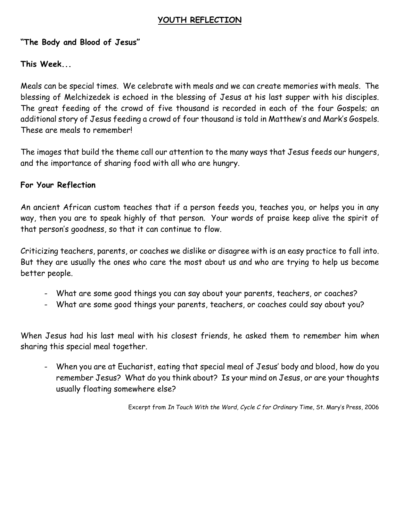### **YOUTH REFLECTION**

### **"The Body and Blood of Jesus"**

### **This Week...**

Meals can be special times. We celebrate with meals and we can create memories with meals. The blessing of Melchizedek is echoed in the blessing of Jesus at his last supper with his disciples. The great feeding of the crowd of five thousand is recorded in each of the four Gospels; an additional story of Jesus feeding a crowd of four thousand is told in Matthew's and Mark's Gospels. These are meals to remember!

The images that build the theme call our attention to the many ways that Jesus feeds our hungers, and the importance of sharing food with all who are hungry.

### **For Your Reflection**

An ancient African custom teaches that if a person feeds you, teaches you, or helps you in any way, then you are to speak highly of that person. Your words of praise keep alive the spirit of that person's goodness, so that it can continue to flow.

Criticizing teachers, parents, or coaches we dislike or disagree with is an easy practice to fall into. But they are usually the ones who care the most about us and who are trying to help us become better people.

- What are some good things you can say about your parents, teachers, or coaches?
- What are some good things your parents, teachers, or coaches could say about you?

When Jesus had his last meal with his closest friends, he asked them to remember him when sharing this special meal together.

- When you are at Eucharist, eating that special meal of Jesus' body and blood, how do you remember Jesus? What do you think about? Is your mind on Jesus, or are your thoughts usually floating somewhere else?

Excerpt from *In Touch With the Word, Cycle C for Ordinary Time,* St. Mary's Press, 2006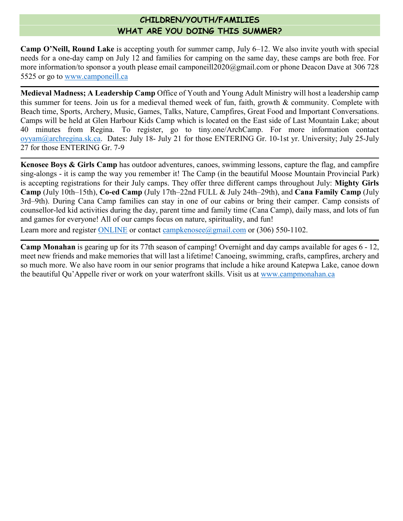### **CHILDREN/YOUTH/FAMILIES WHAT ARE YOU DOING THIS SUMMER?**

**Camp O'Neill, Round Lake** is accepting youth for summer camp, July 6–12. We also invite youth with special needs for a one-day camp on July 12 and families for camping on the same day, these camps are both free. For more information/to sponsor a youth please email [camponeill2020@gmail.com](mailto:camponeill2020@gmail.com) or phone Deacon Dave at 306 728 5525 or go to [www.camponeill.ca](http://www.camponeill.ca/)

**Medieval Madness; A Leadership Camp** Office of Youth and Young Adult Ministry will host a leadership camp this summer for teens. Join us for a medieval themed week of fun, faith, growth & community. Complete with Beach time, Sports, Archery, Music, Games, Talks, Nature, Campfires, Great Food and Important Conversations. Camps will be held at Glen Harbour Kids Camp which is located on the East side of Last Mountain Lake; about 40 minutes from Regina. To register, go to tiny.one/ArchCamp. For more information contact [oyyam@archregina.sk.ca.](mailto:oyyam@archregina.sk.ca) Dates: July 18- July 21 for those ENTERING Gr. 10-1st yr. University; July 25-July 27 for those ENTERING Gr. 7-9

**Kenosee Boys & Girls Camp** has outdoor adventures, canoes, swimming lessons, capture the flag, and campfire sing-alongs - it is camp the way you remember it! The Camp (in the beautiful Moose Mountain Provincial Park) is accepting registrations for their July camps. They offer three different camps throughout July: **Mighty Girls Camp** (July 10th–15th), **Co-ed Camp** (July 17th–22nd FULL & July 24th–29th), and **Cana Family Camp** (July 3rd–9th). During Cana Camp families can stay in one of our cabins or bring their camper. Camp consists of counsellor-led kid activities during the day, parent time and family time (Cana Camp), daily mass, and lots of fun and games for everyone! All of our camps focus on nature, spirituality, and fun!

Learn more and register [ONLINE](http://www.campkenosee.net/) or contact [campkenosee@gmail.com](mailto:campkenosee@gmail.com) or  $(306)$  550-1102.

**Camp Monahan** is gearing up for its 77th season of camping! Overnight and day camps available for ages 6 - 12, meet new friends and make memories that will last a lifetime! Canoeing, swimming, crafts, campfires, archery and so much more. We also have room in our senior programs that include a hike around Katepwa Lake, canoe down the beautiful Qu'Appelle river or work on your waterfront skills. Visit us at [www.campmonahan.ca](http://www.campmonahan.ca/)